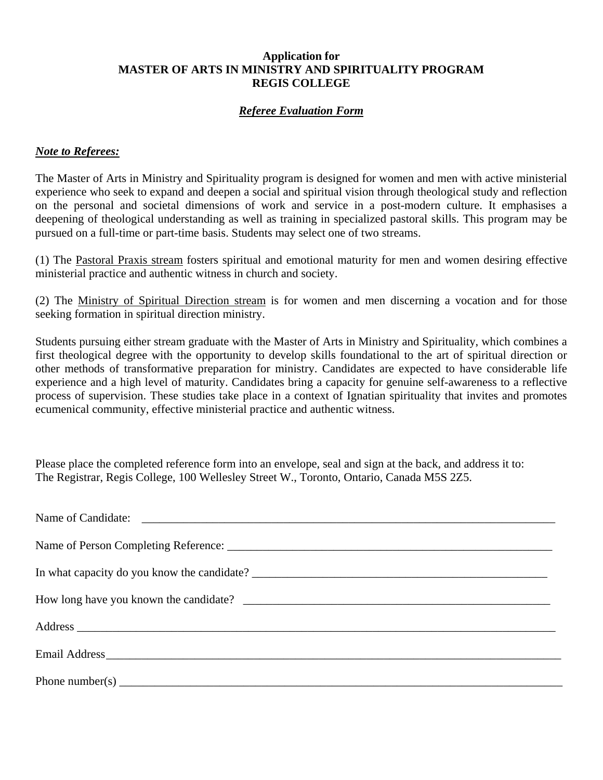## **Application for MASTER OF ARTS IN MINISTRY AND SPIRITUALITY PROGRAM REGIS COLLEGE**

# *Referee Evaluation Form*

## *Note to Referees:*

The Master of Arts in Ministry and Spirituality program is designed for women and men with active ministerial experience who seek to expand and deepen a social and spiritual vision through theological study and reflection on the personal and societal dimensions of work and service in a post-modern culture. It emphasises a deepening of theological understanding as well as training in specialized pastoral skills. This program may be pursued on a full-time or part-time basis. Students may select one of two streams.

(1) The Pastoral Praxis stream fosters spiritual and emotional maturity for men and women desiring effective ministerial practice and authentic witness in church and society.

(2) The Ministry of Spiritual Direction stream is for women and men discerning a vocation and for those seeking formation in spiritual direction ministry.

Students pursuing either stream graduate with the Master of Arts in Ministry and Spirituality, which combines a first theological degree with the opportunity to develop skills foundational to the art of spiritual direction or other methods of transformative preparation for ministry. Candidates are expected to have considerable life experience and a high level of maturity. Candidates bring a capacity for genuine self-awareness to a reflective process of supervision. These studies take place in a context of Ignatian spirituality that invites and promotes ecumenical community, effective ministerial practice and authentic witness.

Please place the completed reference form into an envelope, seal and sign at the back, and address it to: The Registrar, Regis College, 100 Wellesley Street W., Toronto, Ontario, Canada M5S 2Z5.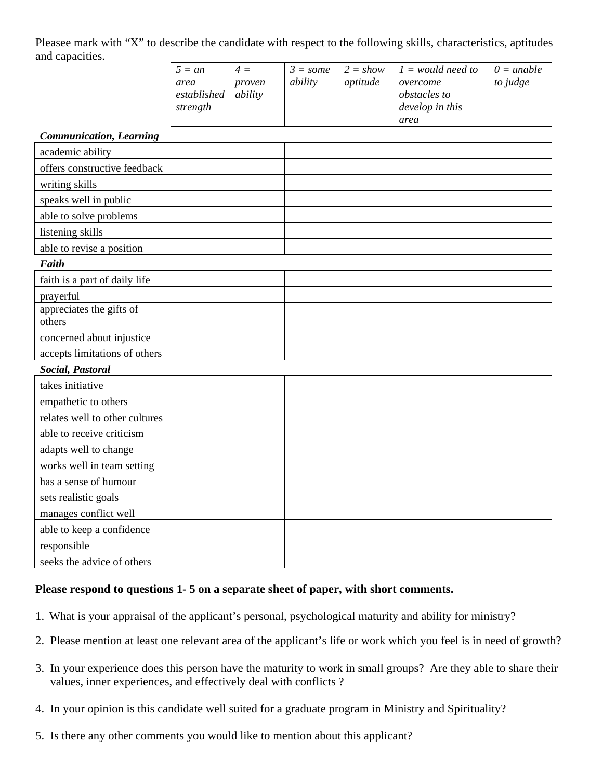Pleasee mark with "X" to describe the candidate with respect to the following skills, characteristics, aptitudes and capacities.

| $\overline{\phantom{a}}$ | $5 = an$<br>area<br>established<br>strength | $4 =$<br>proven<br>ability | $3 = some$<br>ability | $2 = show$<br>aptitude | $1 =$ would need to<br>overcome<br><i>obstacles to</i><br>develop in this | $0 =$ unable<br>to judge |
|--------------------------|---------------------------------------------|----------------------------|-----------------------|------------------------|---------------------------------------------------------------------------|--------------------------|
|                          |                                             |                            |                       |                        | area                                                                      |                          |

#### *Communication, Learning*

| Communication, Learning            |  |  |  |  |  |  |  |  |  |
|------------------------------------|--|--|--|--|--|--|--|--|--|
| academic ability                   |  |  |  |  |  |  |  |  |  |
| offers constructive feedback       |  |  |  |  |  |  |  |  |  |
| writing skills                     |  |  |  |  |  |  |  |  |  |
| speaks well in public              |  |  |  |  |  |  |  |  |  |
| able to solve problems             |  |  |  |  |  |  |  |  |  |
| listening skills                   |  |  |  |  |  |  |  |  |  |
| able to revise a position          |  |  |  |  |  |  |  |  |  |
| Faith                              |  |  |  |  |  |  |  |  |  |
| faith is a part of daily life      |  |  |  |  |  |  |  |  |  |
| prayerful                          |  |  |  |  |  |  |  |  |  |
| appreciates the gifts of<br>others |  |  |  |  |  |  |  |  |  |
| concerned about injustice          |  |  |  |  |  |  |  |  |  |
| accepts limitations of others      |  |  |  |  |  |  |  |  |  |
| Social, Pastoral                   |  |  |  |  |  |  |  |  |  |
| takes initiative                   |  |  |  |  |  |  |  |  |  |
| empathetic to others               |  |  |  |  |  |  |  |  |  |
| relates well to other cultures     |  |  |  |  |  |  |  |  |  |
| able to receive criticism          |  |  |  |  |  |  |  |  |  |
| adapts well to change              |  |  |  |  |  |  |  |  |  |
| works well in team setting         |  |  |  |  |  |  |  |  |  |
| has a sense of humour              |  |  |  |  |  |  |  |  |  |
| sets realistic goals               |  |  |  |  |  |  |  |  |  |
| manages conflict well              |  |  |  |  |  |  |  |  |  |
| able to keep a confidence          |  |  |  |  |  |  |  |  |  |
| responsible                        |  |  |  |  |  |  |  |  |  |
| seeks the advice of others         |  |  |  |  |  |  |  |  |  |

#### **Please respond to questions 1- 5 on a separate sheet of paper, with short comments.**

- 1. What is your appraisal of the applicant's personal, psychological maturity and ability for ministry?
- 2. Please mention at least one relevant area of the applicant's life or work which you feel is in need of growth?
- 3. In your experience does this person have the maturity to work in small groups? Are they able to share their values, inner experiences, and effectively deal with conflicts ?
- 4. In your opinion is this candidate well suited for a graduate program in Ministry and Spirituality?
- 5. Is there any other comments you would like to mention about this applicant?